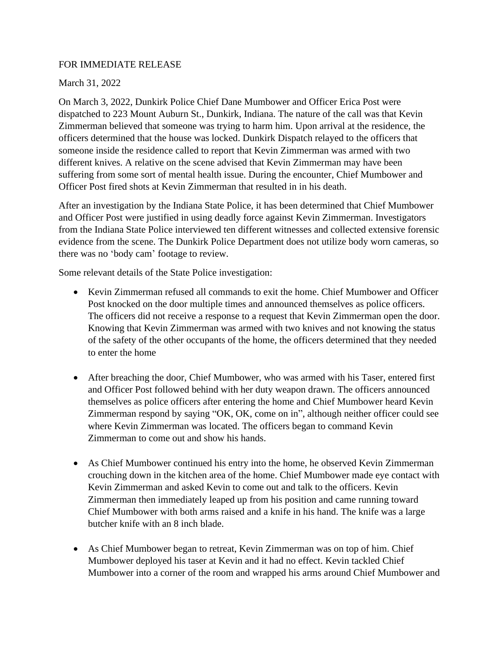## FOR IMMEDIATE RELEASE

## March 31, 2022

On March 3, 2022, Dunkirk Police Chief Dane Mumbower and Officer Erica Post were dispatched to 223 Mount Auburn St., Dunkirk, Indiana. The nature of the call was that Kevin Zimmerman believed that someone was trying to harm him. Upon arrival at the residence, the officers determined that the house was locked. Dunkirk Dispatch relayed to the officers that someone inside the residence called to report that Kevin Zimmerman was armed with two different knives. A relative on the scene advised that Kevin Zimmerman may have been suffering from some sort of mental health issue. During the encounter, Chief Mumbower and Officer Post fired shots at Kevin Zimmerman that resulted in in his death.

After an investigation by the Indiana State Police, it has been determined that Chief Mumbower and Officer Post were justified in using deadly force against Kevin Zimmerman. Investigators from the Indiana State Police interviewed ten different witnesses and collected extensive forensic evidence from the scene. The Dunkirk Police Department does not utilize body worn cameras, so there was no 'body cam' footage to review.

Some relevant details of the State Police investigation:

- Kevin Zimmerman refused all commands to exit the home. Chief Mumbower and Officer Post knocked on the door multiple times and announced themselves as police officers. The officers did not receive a response to a request that Kevin Zimmerman open the door. Knowing that Kevin Zimmerman was armed with two knives and not knowing the status of the safety of the other occupants of the home, the officers determined that they needed to enter the home
- After breaching the door, Chief Mumbower, who was armed with his Taser, entered first and Officer Post followed behind with her duty weapon drawn. The officers announced themselves as police officers after entering the home and Chief Mumbower heard Kevin Zimmerman respond by saying "OK, OK, come on in", although neither officer could see where Kevin Zimmerman was located. The officers began to command Kevin Zimmerman to come out and show his hands.
- As Chief Mumbower continued his entry into the home, he observed Kevin Zimmerman crouching down in the kitchen area of the home. Chief Mumbower made eye contact with Kevin Zimmerman and asked Kevin to come out and talk to the officers. Kevin Zimmerman then immediately leaped up from his position and came running toward Chief Mumbower with both arms raised and a knife in his hand. The knife was a large butcher knife with an 8 inch blade.
- As Chief Mumbower began to retreat, Kevin Zimmerman was on top of him. Chief Mumbower deployed his taser at Kevin and it had no effect. Kevin tackled Chief Mumbower into a corner of the room and wrapped his arms around Chief Mumbower and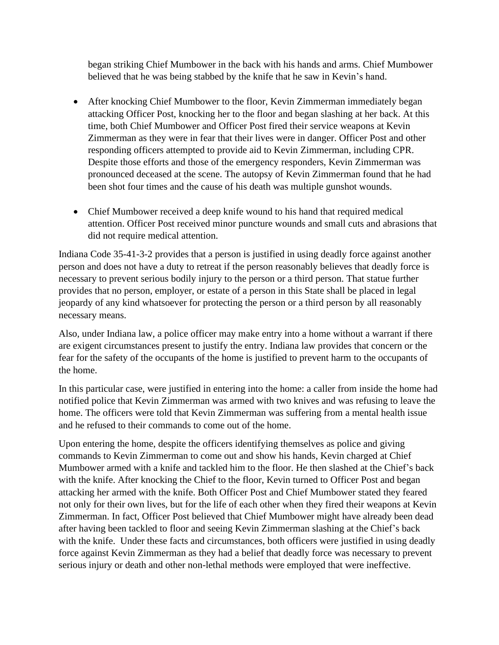began striking Chief Mumbower in the back with his hands and arms. Chief Mumbower believed that he was being stabbed by the knife that he saw in Kevin's hand.

- After knocking Chief Mumbower to the floor, Kevin Zimmerman immediately began attacking Officer Post, knocking her to the floor and began slashing at her back. At this time, both Chief Mumbower and Officer Post fired their service weapons at Kevin Zimmerman as they were in fear that their lives were in danger. Officer Post and other responding officers attempted to provide aid to Kevin Zimmerman, including CPR. Despite those efforts and those of the emergency responders, Kevin Zimmerman was pronounced deceased at the scene. The autopsy of Kevin Zimmerman found that he had been shot four times and the cause of his death was multiple gunshot wounds.
- Chief Mumbower received a deep knife wound to his hand that required medical attention. Officer Post received minor puncture wounds and small cuts and abrasions that did not require medical attention.

Indiana Code 35-41-3-2 provides that a person is justified in using deadly force against another person and does not have a duty to retreat if the person reasonably believes that deadly force is necessary to prevent serious bodily injury to the person or a third person. That statue further provides that no person, employer, or estate of a person in this State shall be placed in legal jeopardy of any kind whatsoever for protecting the person or a third person by all reasonably necessary means.

Also, under Indiana law, a police officer may make entry into a home without a warrant if there are exigent circumstances present to justify the entry. Indiana law provides that concern or the fear for the safety of the occupants of the home is justified to prevent harm to the occupants of the home.

In this particular case, were justified in entering into the home: a caller from inside the home had notified police that Kevin Zimmerman was armed with two knives and was refusing to leave the home. The officers were told that Kevin Zimmerman was suffering from a mental health issue and he refused to their commands to come out of the home.

Upon entering the home, despite the officers identifying themselves as police and giving commands to Kevin Zimmerman to come out and show his hands, Kevin charged at Chief Mumbower armed with a knife and tackled him to the floor. He then slashed at the Chief's back with the knife. After knocking the Chief to the floor, Kevin turned to Officer Post and began attacking her armed with the knife. Both Officer Post and Chief Mumbower stated they feared not only for their own lives, but for the life of each other when they fired their weapons at Kevin Zimmerman. In fact, Officer Post believed that Chief Mumbower might have already been dead after having been tackled to floor and seeing Kevin Zimmerman slashing at the Chief's back with the knife. Under these facts and circumstances, both officers were justified in using deadly force against Kevin Zimmerman as they had a belief that deadly force was necessary to prevent serious injury or death and other non-lethal methods were employed that were ineffective.